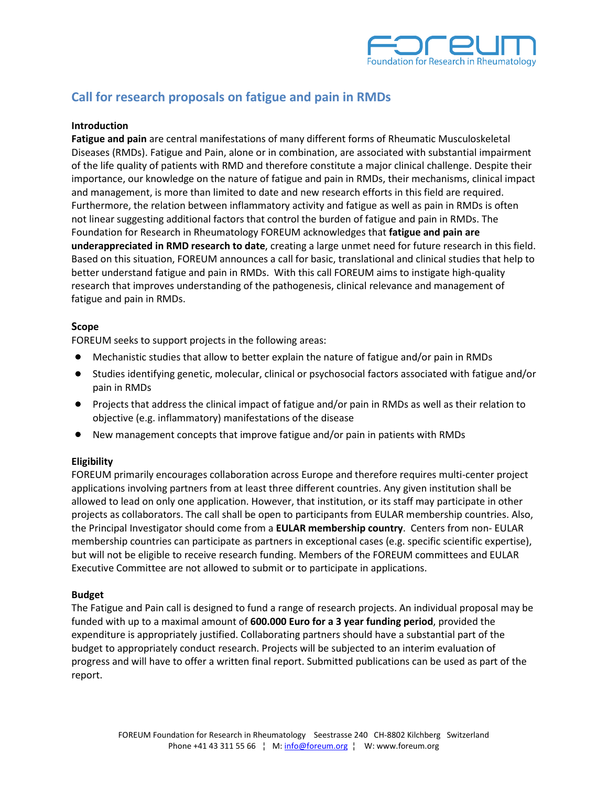

# **Call for research proposals on fatigue and pain in RMDs**

## **Introduction**

**Fatigue and pain** are central manifestations of many different forms of Rheumatic Musculoskeletal Diseases (RMDs). Fatigue and Pain, alone or in combination, are associated with substantial impairment of the life quality of patients with RMD and therefore constitute a major clinical challenge. Despite their importance, our knowledge on the nature of fatigue and pain in RMDs, their mechanisms, clinical impact and management, is more than limited to date and new research efforts in this field are required. Furthermore, the relation between inflammatory activity and fatigue as well as pain in RMDs is often not linear suggesting additional factors that control the burden of fatigue and pain in RMDs. The Foundation for Research in Rheumatology FOREUM acknowledges that **fatigue and pain are underappreciated in RMD research to date**, creating a large unmet need for future research in this field. Based on this situation, FOREUM announces a call for basic, translational and clinical studies that help to better understand fatigue and pain in RMDs. With this call FOREUM aims to instigate high-quality research that improves understanding of the pathogenesis, clinical relevance and management of fatigue and pain in RMDs.

## **Scope**

FOREUM seeks to support projects in the following areas:

- Mechanistic studies that allow to better explain the nature of fatigue and/or pain in RMDs
- Studies identifying genetic, molecular, clinical or psychosocial factors associated with fatigue and/or pain in RMDs
- Projects that address the clinical impact of fatigue and/or pain in RMDs as well as their relation to objective (e.g. inflammatory) manifestations of the disease
- New management concepts that improve fatigue and/or pain in patients with RMDs

## **Eligibility**

FOREUM primarily encourages collaboration across Europe and therefore requires multi-center project applications involving partners from at least three different countries. Any given institution shall be allowed to lead on only one application. However, that institution, or its staff may participate in other projects as collaborators. The call shall be open to participants from EULAR membership countries. Also, the Principal Investigator should come from a **EULAR membership country**. Centers from non- EULAR membership countries can participate as partners in exceptional cases (e.g. specific scientific expertise), but will not be eligible to receive research funding. Members of the FOREUM committees and EULAR Executive Committee are not allowed to submit or to participate in applications.

## **Budget**

The Fatigue and Pain call is designed to fund a range of research projects. An individual proposal may be funded with up to a maximal amount of **600.000 Euro for a 3 year funding period**, provided the expenditure is appropriately justified. Collaborating partners should have a substantial part of the budget to appropriately conduct research. Projects will be subjected to an interim evaluation of progress and will have to offer a written final report. Submitted publications can be used as part of the report.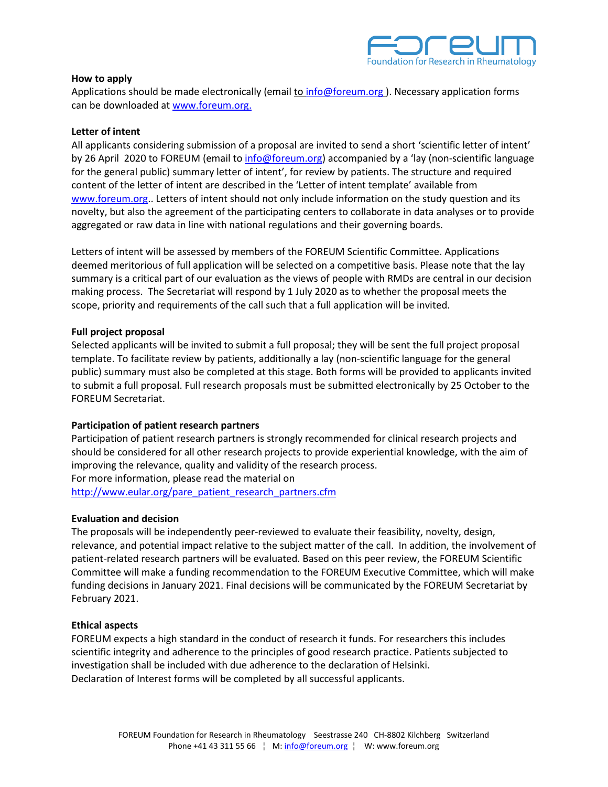

## **How to apply**

Applications should be made electronically (email to [info@foreum.org](mailto:info@foreum.org)). Necessary application forms can be downloaded a[t www.foreum.org.](http://www.foreum.org/web/foreum_wcms.nsf/vwAllByKey/media%7Cen)

## **Letter of intent**

All applicants considering submission of a proposal are invited to send a short 'scientific letter of intent' by 26 April 2020 to FOREUM (email t[o info@foreum.org\)](file://eulardc1/eular/FOREUM%20Research%20Foundation/Project%20Calls/2014%20Call%20for%20Proposals/SLE%202014/info@foreum.org) accompanied by a 'lay (non-scientific language for the general public) summary letter of intent', for review by patients. The structure and required content of the letter of intent are described in the 'Letter of intent template' available from [www.foreum.org.](http://www.foreum.org/). Letters of intent should not only include information on the study question and its novelty, but also the agreement of the participating centers to collaborate in data analyses or to provide aggregated or raw data in line with national regulations and their governing boards.

Letters of intent will be assessed by members of the FOREUM Scientific Committee. Applications deemed meritorious of full application will be selected on a competitive basis. Please note that the lay summary is a critical part of our evaluation as the views of people with RMDs are central in our decision making process. The Secretariat will respond by 1 July 2020 as to whether the proposal meets the scope, priority and requirements of the call such that a full application will be invited.

## **Full project proposal**

Selected applicants will be invited to submit a full proposal; they will be sent the full project proposal template. To facilitate review by patients, additionally a lay (non-scientific language for the general public) summary must also be completed at this stage. Both forms will be provided to applicants invited to submit a full proposal. Full research proposals must be submitted electronically by 25 October to the FOREUM Secretariat.

## **Participation of patient research partners**

Participation of patient research partners is strongly recommended for clinical research projects and should be considered for all other research projects to provide experiential knowledge, with the aim of improving the relevance, quality and validity of the research process. For more information, please read the material on [http://www.eular.org/pare\\_patient\\_research\\_partners.cfm](http://www.eular.org/pare_patient_research_partners.cfm)

## **Evaluation and decision**

The proposals will be independently peer-reviewed to evaluate their feasibility, novelty, design, relevance, and potential impact relative to the subject matter of the call. In addition, the involvement of patient-related research partners will be evaluated. Based on this peer review, the FOREUM Scientific Committee will make a funding recommendation to the FOREUM Executive Committee, which will make funding decisions in January 2021. Final decisions will be communicated by the FOREUM Secretariat by February 2021.

## **Ethical aspects**

FOREUM expects a high standard in the conduct of research it funds. For researchers this includes scientific integrity and adherence to the principles of good research practice. Patients subjected to investigation shall be included with due adherence to the declaration of Helsinki. Declaration of Interest forms will be completed by all successful applicants.